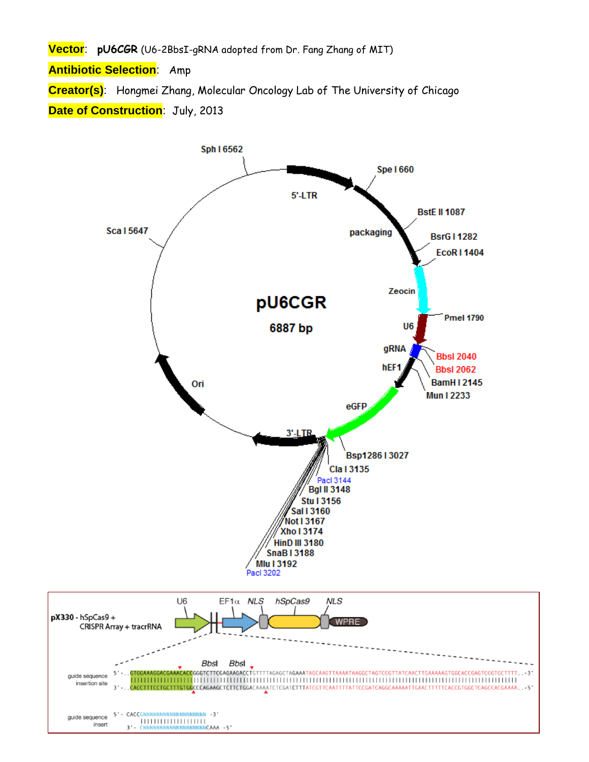**Vector**: **pU6CGR** (U6-2BbsI-gRNA adopted from Dr. Fang Zhang of MIT)

**Antibiotic Selection**: Amp

**Creator(s)**: Hongmei Zhang, Molecular Oncology Lab of The University of Chicago **Date of Construction**: July, 2013

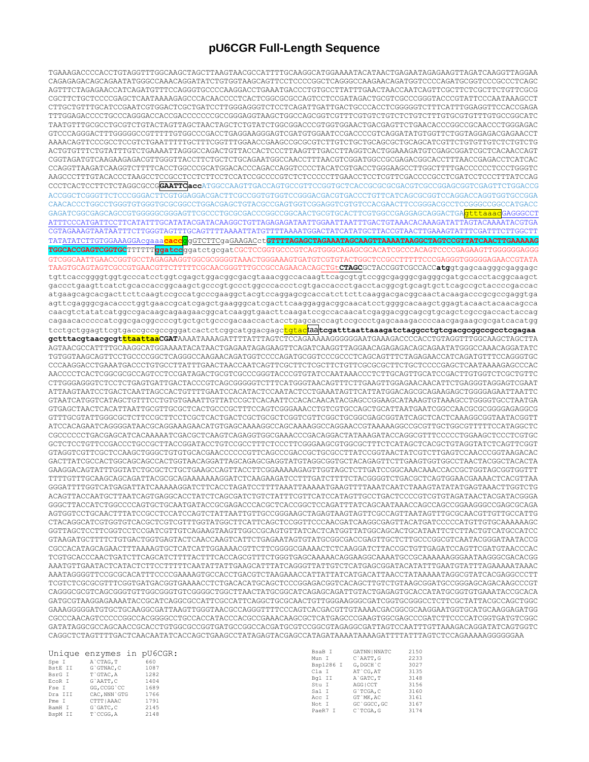## pU6CGR Full-Length Sequence

TGAAAGACCCCACCTGTAGGTTTGGCAAGCTAGCTTAAGTAACGCCATTTTGCAAGGCATGGAAAATACATAACTGAGAATAGAGAAGTTAGATCAAGGTTAGGAA CAGAGAGACAGCAGAATATGGGCCAAACAGGATATCTGTGGTAAGCAGTTCCTCCCCGGCTCAGGGCCAAGAACAGATGGTCCCCAGATGCGGTCCCGCCCTCAGC AGTTTCTAGAGAACCATCAGATGTTTCCAGGGTGCCCCAAGGACCTGAAATGACCCTGTGCCTTATTTGAACTAACCAATCAGTTCGCTTCTCGCTTCTGTTCGCG CGCTTCTGCTCCCCGAGCTCAATAAAAGAGCCCACAACCCCTCACTCGGCGCGCAGTCCTCCGATAGACTGCGTCGCCCGGGTACCCGTATTCCCAATAAAGCCT TAATGTTTGCGCCTGCGTCTGTACTAGTTAGCTAACTAGCTCTGTATCTGGCGGACCCGTGGTGGAACTGACGAGTTCTGAACACCCGGCCGAACCCTGGGAGAC GTCCCAGGGACTTTGGGGGCCCGTTTTTGTGGCCCGACCTGAGGAAGGGAGTCGATGTGGAATCCGACCCCGTCAGGATATGTGGTTCTGGTAGGAGACGAGAACCT ACTGTGTTTTCTGTATTTTGTCTGAAAATTAGGGCCAGACTGTTACCACTTTAAGTTTGACCTTAGGTCACTGGAAAGATGTCGAGCGGATCGCTCACAACCAGT  ${\tt CCGGGTTAAGATCAAGGTCTTTTTCACCTGGCCCGCATGGACACCCGACCAGGTCCCCTACATCGTGACCTGGGAGCCTTGGCTTTGACCCCCCCTCCCCTGGGTCCCTGGGTCC$ AAGCCCTTTGTACACCCTAAGCCTCCGCCTCCTCTTCCTCCATCCGCCCCGTCTCTCCCCCTTGAACCTCCTCGTTCGACCCCGCCTCGATCCTCCCTTTATCCAG ACCGGCTCGGGTTCTCCCGGGACTTCGTGGAGGACGACTTCGCCGGTGTGGTCCGGGACGTGACCCTGTTCATCAGCGCGGTCCAGGACCAGGTGGTGCCGGA GAGATCGGCGAGCAGCCGTGGGGGCGGGAGTTCGCCCTGCGCGACCCGGCGAACTGCGTGCACTTCGTGGCCGAGGAGCAGGACTGA<mark>gtttaaac</mark>GAGGGCCT CGTAGAAAGTAATAATTTCTTGGGTAGTTTGCAGTTTTAAAATTATGTTTTAAAATGGACTATCATATGCTTACCGTAACTTGAAAGTATTTCGATTTCTTGGCTT TATATATCTTGTGGAAAGGAcgaaa<mark>cacc</mark>ggGTCTTCgaGAAGACct<mark>GTTTTAGAGCTAGAAATAGCAAGTTAAAATAAGGCTAGTCCGTTATCAACTTGAAAAAG</mark> TGGCACCGAGTCGGTGCTTTTTTggatccggatctgcgatCGCTCCGGTGCCCGTCAGTGGGCAGAGCGCACATCGCCCACAGTCCCCGAGAAGTTGGGGGAGGG GTCGGCAATTGAACCGGTGCCTAGAGAAGGTGGCGCGGGGTAAACTGGGAAAGTGATGTCGTGTACTGGCTCCGCCTTTTTCCCGAGGGTGGGGAGAACCGTATA TAAGTGCAGTAGTCGCCGTGAACGTTCTTTTCGCAACGGGTTTGCCGCCAGAACACAG<u>CTGt**CTAGC**</u>GCTACCGGTCGCCACCatggtgagcaagggcgaggagc tgttcaccqqqqtqqtqcccatcctqqtcqaqctqqacqqcqacqtaaacqqccacaaqttcaqcqtqtccqqcqaqqqcqaqqqcqatqccacctacqqcaaqct gaccctgaagttcatctgcaccaccggcaagctgcccgtgccctggcccaccctcgtgaccaccctgacctacggcgtgcagtgcttcagccgctaccccgaccac atgaagcagcacgacttcttcaagtccgccatgcccgaaggctacgtccaggagcgcaccatcttcttcaaggacggcagctacaagacccgcgccgaggtga agttcgagggcgacaccctggtgaaccgcatcgagctgaagggcatcgacttcaaggaggacggcaacatcctggggcacaagctggagtacaactacaacagcca caacgtctatatcatggccgacaagcagaagaacggcatcaaggtgaacttcaagatccgccacaacatcgaggacggcagcgtgcagctcgccgaccactaccag cagaacacccccatcggcgacggccccgtgctgctgcccgacaaccactacctgagcacccagtccgccctgagcaaagaccccaacgagaagcgcgatcacatgg tcctgctggagttcgtgaccgccgccgggatcactctcggcatggacgagctgtactaatcaattaaattaaagatctaggcctgtcgacgcggccgcctcgagaa AGTAACGCCATTTTGCAAGGCATGGAAAATACATAACTGAGAATAGAGAAGTTCAGATCAAGGTTAGGAACAGAGAGACAGAATATGGGCCAAACAGGATATC TGTGGTAAGCAGTTCCTGCCCCGGCTCAGGGCCAAGAACAGATGCTCCCCAGATGCGGTCCCGCCCTCAGCAGTTTCTAGAGAACCATCAGATGTTCCAGGGTGC  ${\tt CCCAAGGACCTGAAATGACCCTGTGCCTTTTTGAACTAACCAATCAGTTCGCTTCTCGCTTCTGCTTCGCGGCTTCTGCTCCCCGAGCTCAATAAAAGAGCCCAC$ AACCCCTCACTCGGCGCCCAGTCCTCCGATAGACTGCGTCGCCCGGGTACCCGTGTATCCAATAAACCCTCTTGCAGTTGCATCCGACTTGTGGTCTCGCTGTTC CTTGGGAGGGTCTCCTCTGAGTGATTGACTACCCGTCAGCGGGGTCTTTCATGGGTAACAGTTTCTTGAAGTTGGAGAACAACATTCTGAGGGTAGGAGTCGAAT  ${\tt GTGACTTAACTCACATTAATTGCGTTGCGCTCACTGCCGCTTTCCAGTCGGAAACCTGTCGCTGCCAGCTGCATTAATGAATCGGCCAAACGCGCGGGGAGAGGCG$ ATCCACAGAATCAGGGGATAACGCAGGAAAGAACATGTGAGCAAAAGGCCAGCAAAAGGCCAGGAACCGTAAAAAGGCCGCGTTGCTGGCGTTTTTCCATAGGCTC CGCCCCCCTGACGAGCATCACAAAAATCGACGCTCAAGTCAGAGGTGGCGAAACCCGACAGGACTATAAAGATACCAGGCGTTTCCCCCTGGAAGCTCCCTCGTGC GTAGGTCGTTCGCTCCAAGCTGGGCTGTGTGCACGAACCCCCCGTTCAGCCCGACCGCTGCGCCTTATCCGGTAACTATCGTCTTGAGTCCAACCCGGTAAGACAC GACTTATCGCCACTGGCAGCCACCCACTGGTAACAGGATTAGCAGAGCGAGGTATGTAGGCGGTGCTACAGAGTTCTTGAAGTGGTGGCCTAACTACGGCTACACTA GAAGGACAGTATTTGGTATCTGCGCTCTGCTGAAGCCAGTTACCTTCGGAAAAAGAGTTGGTAGCTCTTGATCCGGCAAACAACACCGCTGGTAGCGGTGGTTTT TTTTGTTTGCAAGCAAGCAGAATTACGCGCAGAAAAAAAGGATCTCAAGAAGATCCTTTGATCTTTCTACGGGGTCTGACGCTCAGTGGAACGAAAACTCACGTTAA  $\label{thm:GGGATTTTGGTCATGAGAGTTATCA} \begin{array}{ll} \texttt{GGGATCTTAGA} \end{array} \begin{array}{ll} \texttt{GTCTTTAA} \texttt{AAATGA} \texttt{GGA} \texttt{GTTTTA} \texttt{AAATCA} \texttt{ACTATA} \texttt{AA} \texttt{GTATA} \texttt{ATGA} \texttt{GTATA} \texttt{AA} \texttt{CTG} \texttt{GGT} \texttt{CTG} \texttt{GTATA} \texttt{TGA} \texttt{CTG} \texttt{GTATA} \texttt{TGA} \texttt{CTG} \texttt{CTG} \texttt{CTG} \texttt$ ACAGTTACCAATGCTTAATCAGTGAGGCACCTATCTCAGCGATCTGTCTATTTCGTTCATCCATAGTTGCCTGACTCCCCGTCGTGTAGATAACTACGATACGGGA GTAAGATGCTTTTCTGTGACTGGTGAGTACTCAACCAAGTCATTCTGAGAATAGTGTATGCGGCGACCGAGTTGCTCTTGCCCGGCGTCAATACGGGATAATACCG CGCCACATAGCAGAACTTTAAAAGTGCTCATCATCATTGGAAAACGTTCTTCGGGGCGAAAACTCTCAAGGATCTTACCGCTGTTGAGATCCAGTTCGATGTAACCCAC TCGTGCACCCAACTGATCTTCAGCATCTTTTACTTTCACCAGCGTTTCTGGGTGAGCAAAAACAGGAAAAATGCCGCAAAAAAGGGAATAAGGGCACACACGG AAATGTTGAATACTCATACTCTTCCTTTTTCAATATTATTGAAGCATTTATCAGGGTTATTGTCTCATGAGCGGATACATATTTGAATGTATTTAGAAAAATAAAC AAATAGGGGTTCCGCGCACATTTCCCCGAAAAGTGCCACCTGACGTCTAAGAAACCATTATTATCATGACATTAACCTATAAAATAGGCGTATCACGAGGCCCTT GATGCGTAAGGAGAAAATACCGCATCAGGCGCATTCGCCATTCAGGCTGCGCAACTGTTGGGAAGGGCGATCGGTGCGGCCTCTTCGCTATTACGCCAGCTGC CGCCCAACAGTCCCCCGGCCACGGGCCTGCCACCATACCCACGCCGAAACAAGCGCTCATGAGCCCGAAGTGGCGAGCCCGATCTTCCCCATCGGTGATGTCGGC GATATAGGCGCCAGCAACCGCACCTGTGGCGCCGGTGATGCCGGCCACGATGCGTCCGGCGTAGAGGCGATTAGTCCAATTTGTTAAAGACAGGATATCAGTGGTC 

|         | Unique enzymes in pU6CGR: |      | BsaB I    | GATNN   NNATC | 2150 |
|---------|---------------------------|------|-----------|---------------|------|
|         |                           |      | Mun I     | C`AATT.G      | 2233 |
| Spe I   | A`CTAG, T                 | 660  | Bsp1286 I | G. DGCH C     | 3027 |
| BstE II | G`GTNAC.C                 | 1087 | Cla I     | AT CG, AT     | 3135 |
| BsrG I  | T`GTAC.A                  | 1282 | Bal II    | A`GATC, T     | 3148 |
| EcoR I  | G`AATT.C                  | 1404 | Stu I     | AGG I CCT     | 3156 |
| Fse I   | GG, CCGG `CC              | 1689 |           |               |      |
| Dra III | CAC.NNN GTG               | 1766 | Sal I     | G`TCGA.C      | 3160 |
| Pme I   | CTTT   AAAC               | 1791 | Acc I     | GT `MK, AC    | 3161 |
| BamH I  | G`GATC.C                  | 2145 | Not I     | GC `GGCC, GC  | 3167 |
| RenM TT | T'ACCC A                  | 2148 | PaeR7 I   | C`TCGA, G     | 3174 |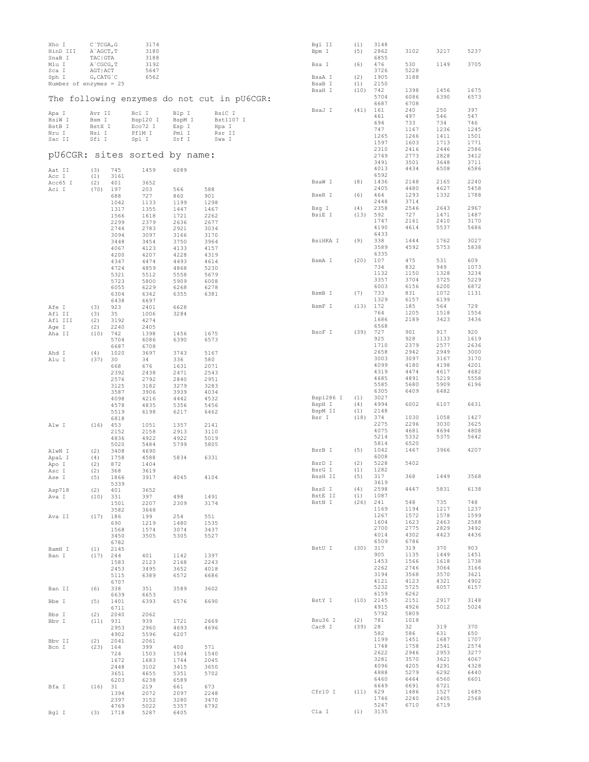| Xho I<br>HinD III             | $C$ TCGA, G<br>A`AGCT, T |              | 3174<br>3180    |                |                                             | Bgl II<br>Bpm I     | (1)<br>(5) | 3148<br>2862       | 3102         | 3217         | 5237         |
|-------------------------------|--------------------------|--------------|-----------------|----------------|---------------------------------------------|---------------------|------------|--------------------|--------------|--------------|--------------|
| SnaB I<br>Mlu I               | TAC   GTA<br>A CGCG, T   |              | 3188<br>3192    |                |                                             | Bsa I               | (6)        | 6855<br>476        | 530          | 1149         | 3705         |
| Sca I                         | AGT   ACT                |              | 5647            |                |                                             |                     |            | 3726               | 5228         |              |              |
| Sph I                         | $G$ , CAT $G$ $C$        |              | 6562            |                |                                             | BsaA I              | (2)        | 1905               | 3188         |              |              |
| Number of enzymes = $25$      |                          |              |                 |                |                                             | BsaB I              | (1)        | 2150               |              |              |              |
|                               |                          |              |                 |                | The following enzymes do not cut in pU6CGR: | BsaH I              | (10)       | 742<br>5704        | 1398<br>6086 | 1456<br>6390 | 1675<br>6573 |
|                               |                          |              |                 |                |                                             |                     |            | 6687               | 6708         |              |              |
| Apa I                         | Avr II                   |              | Bcl I           | Blp I          | BsiC I                                      | BsaJ I              | (41)       | 161                | 240          | 250          | 397          |
| BsiW I                        | Bsm I                    |              | Bsp120 I        | BspM I         | Bst1107 I                                   |                     |            | 461<br>694         | 497<br>733   | 546<br>734   | 547<br>746   |
| BstB I                        | BstX I                   |              | Eco72 I         | Esp I          | Hpa I                                       |                     |            | 747                | 1167         | 1236         | 1245         |
| Nru I<br>Sac II               | Nsi I<br>Sfi I           |              | PflM I<br>Spl I | Pml I<br>Srf I | Rsr II<br>Swa I                             |                     |            | 1265               | 1266         | 1411         | 1501         |
|                               |                          |              |                 |                |                                             |                     |            | 1597               | 1603         | 1713         | 1771         |
| pU6CGR: sites sorted by name: |                          |              |                 |                |                                             |                     |            | 2310<br>2749       | 2416<br>2773 | 2446<br>2828 | 2586<br>3412 |
|                               |                          |              |                 |                |                                             |                     |            | 3491               | 3501         | 3648         | 3711         |
| Aat II                        | (3)                      | 745          | 1459            | 6089           |                                             |                     |            | 4013               | 4434         | 6508         | 6586         |
| Acc I                         | (1)                      | 3161         |                 |                |                                             |                     |            | 6592               |              |              |              |
| Acc65 I                       | (2)                      | 401          | 3652            |                |                                             | BsaW I              | (8)        | 1436<br>2405       | 2148<br>4480 | 2165<br>4627 | 2240<br>5458 |
| Aci I                         | (70)                     | 197<br>688   | 203<br>727      | 566<br>860     | 588<br>901                                  | BseR I              | (6)        | 464                | 1293         | 1332         | 1788         |
|                               |                          | 1042         | 1133            | 1199           | 1298                                        |                     |            | 2448               | 3714         |              |              |
|                               |                          | 1317         | 1355            | 1447           | 1467                                        | Bsq I               | (4)        | 2358               | 2546         | 2643         | 2967         |
|                               |                          | 1566         | 1618            | 1721           | 2262                                        | BsiE I              | (13)       | 592<br>1747        | 727<br>2161  | 1471<br>2410 | 1487<br>3170 |
|                               |                          | 2299<br>2744 | 2379<br>2783    | 2636<br>2921   | 2677<br>3034                                |                     |            | 4190               | 4614         | 5537         | 5686         |
|                               |                          | 3094         | 3097            | 3166           | 3170                                        |                     |            | 6433               |              |              |              |
|                               |                          | 3448         | 3454            | 3750           | 3964                                        | BsiHKA I            | (9)        | 338                | 1444         | 1762         | 3027         |
|                               |                          | 4067         | 4123            | 4133           | 4157                                        |                     |            | 3589               | 4592         | 5753         | 5838         |
|                               |                          | 4200<br>4347 | 4207<br>4474    | 4228<br>4493   | 4319<br>4614                                | BsmA I              | (20)       | 6335<br>107        | 475          | 531          | 609          |
|                               |                          | 4724         | 4859            | 4868           | 5230                                        |                     |            | 734                | 832          | 949          | 1073         |
|                               |                          | 5321         | 5512            | 5558           | 5679                                        |                     |            | 1132               | 1150         | 1328         | 3234         |
|                               |                          | 5723         | 5800            | 5909           | 6008                                        |                     |            | 3357               | 3704         | 3725         | 5229         |
|                               |                          | 6055         | 6229            | 6268           | 6278                                        | BsmB I              | (7)        | 6003<br>733        | 6156<br>831  | 6200<br>1072 | 6872<br>1131 |
|                               |                          | 6304<br>6438 | 6342<br>6697    | 6355           | 6381                                        |                     |            | 1329               | 6157         | 6199         |              |
| Afe I                         | (3)                      | 923          | 2401            | 6628           |                                             | BsmF I              | (13)       | 172                | 185          | 564          | 729          |
| Afl II                        | (3)                      | 35           | 1006            | 3284           |                                             |                     |            | 764                | 1205         | 1518         | 1554         |
| Afl III                       | (2)                      | 3192         | 4274            |                |                                             |                     |            | 1686               | 2189         | 3423         | 3436         |
| Age I                         | (2)<br>(10)              | 2240         | 2405<br>1398    | 1456           | 1675                                        | BsoF I              | (39)       | 6568<br>727        | 901          | 917          | 920          |
| Aha II                        |                          | 742<br>5704  | 6086            | 6390           | 6573                                        |                     |            | 925                | 928          | 1133         | 1619         |
|                               |                          | 6687         | 6708            |                |                                             |                     |            | 1710               | 2379         | 2577         | 2636         |
| Ahd I                         | (4)                      | 1020         | 3697            | 3743           | 5167                                        |                     |            | 2658               | 2942         | 2949         | 3000         |
| Alu I                         | (37)                     | 30           | 34              | 336            | 580                                         |                     |            | 3003<br>4099       | 3097         | 3167         | 3170<br>4201 |
|                               |                          | 668<br>2392  | 676<br>2438     | 1631<br>2471   | 2071<br>2543                                |                     |            | 4319               | 4180<br>4474 | 4198<br>4617 | 4682         |
|                               |                          | 2576         | 2792            | 2840           | 2951                                        |                     |            | 4685               | 4891         | 5219         | 5558         |
|                               |                          | 3125         | 3182            | 3279           | 3283                                        |                     |            | 5585               | 5680         | 5909         | 6196         |
|                               |                          | 3587         | 3906            | 3939           | 4034                                        |                     |            | 6305               | 6409         | 6482         |              |
|                               |                          | 4098         | 4216            | 4442           | 4532                                        | Bsp1286 I<br>BspH I | (1)<br>(4) | 3027<br>4994       | 6002         | 6107         | 6631         |
|                               |                          | 4578<br>5519 | 4835<br>6198    | 5356<br>6217   | 5456<br>6462                                | BspM II             | (1)        | 2148               |              |              |              |
|                               |                          | 6818         |                 |                |                                             | Bsr I               | (18)       | 374                | 1030         | 1058         | 1427         |
| Alw I                         | (16)                     | 453          | 1051            | 1357           | 2141                                        |                     |            | 2275               | 2296         | 3030         | 3625         |
|                               |                          | 2152         | 2158            | 2913           | 3110                                        |                     |            | 4075<br>5214       | 4681<br>5332 | 4694<br>5375 | 4808<br>5642 |
|                               |                          | 4836<br>5020 | 4922<br>5484    | 4922<br>5799   | 5019<br>5805                                |                     |            | 5814               | 6520         |              |              |
| AlwN I                        | (2)                      | 3408         | 4690            |                |                                             | BsrB I              | (5)        | 1042               | 1467         | 3966         | 4207         |
| ApaL I                        | (4)                      | 1758         | 4588            | 5834           | 6331                                        |                     |            | 6008               |              |              |              |
| Apo I                         | (2)                      | 872          | 1404            |                |                                             | BsrD I<br>BsrG I    | (2)<br>(1) | 5228<br>1282       | 5402         |              |              |
| Asc I<br>Ase I                | (2)<br>(5)               | 368<br>1866  | 3619<br>3917    | 4045           | 4104                                        | BssH II             | (5)        | 317                | 368          | 1449         | 3568         |
|                               |                          | 5339         |                 |                |                                             |                     |            | 3619               |              |              |              |
| Asp718                        | (2)                      | 401          | 3652            |                |                                             | BssS I              | (4)        | 2598               | 4447         | 5831         | 6138         |
| Ava I                         | $(10)$ 331               |              | 397             | 498            | 1491                                        | BstE II<br>BstN I   | (1)        | 1087<br>$(26)$ 241 | 548          | 735          | 748          |
|                               |                          | 1501<br>3582 | 2207<br>3648    | 2309           | 3174                                        |                     |            | 1169               | 1194         | 1217         | 1237         |
| Ava II                        | $(17)$ 186               |              | 199             | 254            | 551                                         |                     |            | 1267               | 1572         | 1578         | 1599         |
|                               |                          | 690          | 1219            | 1480           | 1535                                        |                     |            | 1604               | 1623         | 2463         | 2588         |
|                               |                          | 1568         | 1574            | 3074           | 3437                                        |                     |            | 2700<br>4014       | 2775<br>4302 | 2829<br>4423 | 3492<br>4436 |
|                               |                          | 3450<br>6782 | 3505            | 5305           | 5527                                        |                     |            | 6509               | 6786         |              |              |
| BamH I                        | (1)                      | 2145         |                 |                |                                             | BstU I              |            | $(30)$ $317$       | 319          | 370          | 903          |
| Ban I                         | $(17)$ 244               |              | 401             | 1142           | 1397                                        |                     |            | 905                | 1135         | 1449         | 1451         |
|                               |                          | 1583         | 2123            | 2168           | 2243                                        |                     |            | 1453               | 1566         | 1618         | 1738         |
|                               |                          | 2453         | 3495            | 3652           | 4018                                        |                     |            | 2262<br>3194       | 2746<br>3568 | 3064<br>3570 | 3166<br>3621 |
|                               |                          | 5115<br>6707 | 6389            | 6572           | 6686                                        |                     |            | 4121               | 4123         | 4321         | 4902         |
| Ban II                        | (6)                      | 338          | 351             | 3589           | 3602                                        |                     |            | 5232               | 5725         | 6057         | 6157         |
|                               |                          | 6639         | 6653            |                |                                             |                     |            | 6159               | 6262         |              |              |
| Bbe I                         | (5)                      | 1401         | 6393            | 6576           | 6690                                        | BstY I              |            | $(10)$ 2145        | 2151         | 2917         | 3148<br>5024 |
|                               |                          | 6711<br>2040 | 2062            |                |                                             |                     |            | 4915<br>5792       | 4926<br>5809 | 5012         |              |
| Bbs I<br>Bbv I                | (2)<br>(11) 931          |              | 939             | 1721           | 2669                                        | Bsu36 I             | (2)        | 781                | 1018         |              |              |
|                               |                          | 2953         | 2960            | 4693           | 4696                                        | Cac8 I              | $(39)$ 28  |                    | 32           | 319          | 370          |
|                               |                          | 4902         | 5596            | 6207           |                                             |                     |            | 582                | 586          | 631          | 650          |
| Bbv II                        | (2)                      | 2041         | 2061            |                |                                             |                     |            | 1199<br>1748       | 1451<br>1758 | 1687<br>2541 | 1707<br>2574 |
| Bcn I                         | $(23)$ 164               | 724          | 399<br>1503     | 400<br>1504    | 571<br>1540                                 |                     |            | 2622               | 2946         | 2953         | 3277         |
|                               |                          | 1672         | 1683            | 1744           | 2045                                        |                     |            | 3281               | 3570         | 3621         | 4067         |
|                               |                          | 2448         | 3102            | 3415           | 3650                                        |                     |            | 4096               | 4205         | 4291         | 4328         |
|                               |                          | 3651         | 4655            | 5351           | 5702                                        |                     |            | 4888               | 5279         | 6292         | 6440         |
|                               |                          | 6203         | 6238            | 6589           |                                             |                     |            | 6460<br>6649       | 6464<br>6691 | 6560<br>6721 | 6601         |
| Bfa I                         | $(16)$ 31                | 1394         | 219<br>2072     | 661<br>2097    | 673<br>2248                                 | Cfr10 I             |            | (11) 629           | 1486         | 1527         | 1685         |
|                               |                          | 2397         | 3152            | 3280           | 3470                                        |                     |            | 1746               | 2240         | 2405         | 2568         |
|                               |                          | 4769         | 5022            | 5357           | 6792                                        |                     |            | 5247               | 6710         | 6719         |              |
| Bgl I                         | (3)                      | 1718         | 5287            | 6405           |                                             | Cla I               |            | $(1)$ 3135         |              |              |              |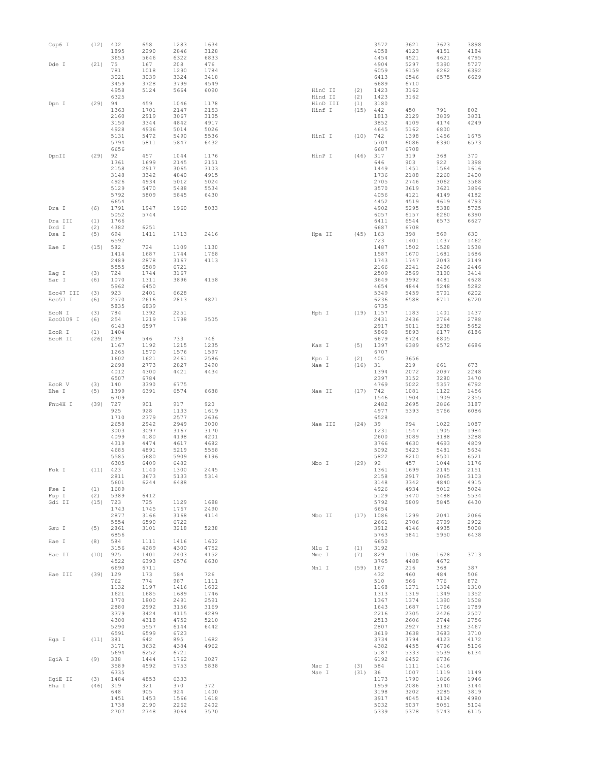| Csp6 I    | (12) | 402<br>1895  | 658<br>2290  | 1283<br>2846 | 1634<br>3128 |                    |             | 3572<br>4058 | 3621<br>4123 | 3623<br>4151 | 3898<br>4184 |
|-----------|------|--------------|--------------|--------------|--------------|--------------------|-------------|--------------|--------------|--------------|--------------|
| Dde I     | (21) | 3653<br>75   | 5646<br>167  | 6322<br>208  | 6833<br>476  |                    |             | 4454<br>4904 | 4521<br>5297 | 4621<br>5390 | 4795<br>5727 |
|           |      | 781          | 1018         | 1290         | 1784         |                    |             | 6059         | 6159         | 6262         | 6392         |
|           |      | 3021         | 3039         | 3324         | 3418         |                    |             | 6413         | 6546         | 6575         | 6629         |
|           |      | 3459         | 3728         | 3799         | 4549         |                    |             | 6689         | 6710         |              |              |
|           |      | 4958         | 5124         | 5664         | 6090         | HinC II<br>Hind II | (2)         | 1423         | 3162         |              |              |
| Dpn I     | (29) | 6325<br>94   | 459          | 1046         | 1178         | HinD III           | (2)<br>(1)  | 1423<br>3180 | 3162         |              |              |
|           |      | 1363         | 1701         | 2147         | 2153         | Hinf I             | (15)        | 442          | 450          | 791          | 802          |
|           |      | 2160         | 2919         | 3067         | 3105         |                    |             | 1813         | 2129         | 3809         | 3831         |
|           |      | 3150         | 3344         | 4842         | 4917         |                    |             | 3852         | 4109         | 4174         | 4249         |
|           |      | 4928<br>5131 | 4936<br>5472 | 5014<br>5490 | 5026<br>5536 | HinI I             | (10)        | 4645<br>742  | 5162<br>1398 | 6800<br>1456 | 1675         |
|           |      | 5794         | 5811         | 5847         | 6432         |                    |             | 5704         | 6086         | 6390         | 6573         |
|           |      | 6656         |              |              |              |                    |             | 6687         | 6708         |              |              |
| DpnII     | (29) | 92           | 457          | 1044         | 1176         | HinP I             | (46)        | 317          | 319          | 368          | 370          |
|           |      | 1361         | 1699         | 2145         | 2151         |                    |             | 646          | 903          | 922          | 1398         |
|           |      | 2158<br>3148 | 2917<br>3342 | 3065<br>4840 | 3103<br>4915 |                    |             | 1449<br>1736 | 1451<br>2188 | 1564<br>2260 | 1616<br>2400 |
|           |      | 4926         | 4934         | 5012         | 5024         |                    |             | 2705         | 2746         | 3062         | 3568         |
|           |      | 5129         | 5470         | 5488         | 5534         |                    |             | 3570         | 3619         | 3621         | 3896         |
|           |      | 5792         | 5809         | 5845         | 6430         |                    |             | 4056         | 4121         | 4149         | 4182         |
|           |      | 6654         | 1947         | 1960         | 5033         |                    |             | 4452<br>4902 | 4519         | 4619<br>5388 | 4793<br>5725 |
| Dra I     | (6)  | 1791<br>5052 | 5744         |              |              |                    |             | 6057         | 5295<br>6157 | 6260         | 6390         |
| Dra III   | (1)  | 1766         |              |              |              |                    |             | 6411         | 6544         | 6573         | 6627         |
| Drd I     | (2)  | 4382         | 6251         |              |              |                    |             | 6687         | 6708         |              |              |
| Dsa I     | (5)  | 694          | 1411         | 1713         | 2416         | Hpa II             | (45)        | 163          | 398          | 569          | 630          |
|           | (15) | 6592<br>582  | 724          | 1109         | 1130         |                    |             | 723<br>1487  | 1401<br>1502 | 1437<br>1528 | 1462<br>1538 |
| Eae I     |      | 1414         | 1687         | 1744         | 1768         |                    |             | 1587         | 1670         | 1681         | 1686         |
|           |      | 2489         | 2878         | 3167         | 4113         |                    |             | 1743         | 1747         | 2043         | 2149         |
|           |      | 5555         | 6589         | 6721         |              |                    |             | 2166         | 2241         | 2406         | 2446         |
| Eag I     | (3)  | 724          | 1744         | 3167         |              |                    |             | 2509         | 2569         | 3100         | 3414         |
| Ear I     | (6)  | 1070<br>5962 | 1311<br>6450 | 3896         | 4158         |                    |             | 3649<br>4654 | 3992<br>4844 | 4481<br>5248 | 4628<br>5282 |
| Eco47 III | (3)  | 923          | 2401         | 6628         |              |                    |             | 5349         | 5459         | 5701         | 6202         |
| Eco57 I   | (6)  | 2570         | 2616         | 2813         | 4821         |                    |             | 6236         | 6588         | 6711         | 6720         |
|           |      | 5835         | 6839         |              |              |                    |             | 6735         |              |              |              |
| ECON I    | (3)  | 784          | 1392         | 2251         |              | Hph I              | (19)        | 1157         | 1183         | 1401         | 1437         |
| Eco0109 I | (6)  | 254<br>6143  | 1219<br>6597 | 1798         | 3505         |                    |             | 2431<br>2917 | 2436<br>5011 | 2764<br>5238 | 2788<br>5652 |
| ECOR I    | (1)  | 1404         |              |              |              |                    |             | 5860         | 5893         | 6177         | 6186         |
| ECOR II   | (26) | 239          | 546          | 733          | 746          |                    |             | 6679         | 6724         | 6805         |              |
|           |      | 1167         | 1192         | 1215         | 1235         | Kas I              | (5)         | 1397         | 6389         | 6572         | 6686         |
|           |      | 1265<br>1602 | 1570<br>1621 | 1576<br>2461 | 1597<br>2586 | Kpn I              | (2)         | 6707<br>405  | 3656         |              |              |
|           |      | 2698         | 2773         | 2827         | 3490         | Mae I              | (16)        | 31           | 219          | 661          | 673          |
|           |      | 4012         | 4300         | 4421         | 4434         |                    |             | 1394         | 2072         | 2097         | 2248         |
|           |      | 6507         | 6784         |              |              |                    |             | 2397         | 3152         | 3280         | 3470         |
| EcoR V    | (3)  | 140          | 3390         | 6775         |              |                    |             | 4769         | 5022         | 5357         | 6792         |
| Ehe I     | (5)  | 1399<br>6709 | 6391         | 6574         | 6688         | Mae II             | (17)        | 742<br>1546  | 1081<br>1904 | 1122<br>1909 | 1456<br>2355 |
| Fnu4H I   | (39) | 727          | 901          | 917          | 920          |                    |             | 2482         | 2695         | 2866         | 3187         |
|           |      | 925          | 928          | 1133         | 1619         |                    |             | 4977         | 5393         | 5766         | 6086         |
|           |      | 1710         | 2379         | 2577         | 2636         |                    |             | 6528         |              |              |              |
|           |      | 2658<br>3003 | 2942<br>3097 | 2949<br>3167 | 3000<br>3170 | Mae III            | (24)        | 39<br>1231   | 994<br>1547  | 1022<br>1905 | 1087<br>1984 |
|           |      | 4099         | 4180         | 4198         | 4201         |                    |             | 2600         | 3089         | 3188         | 3288         |
|           |      | 4319         | 4474         | 4617         | 4682         |                    |             | 3766         | 4630         | 4693         | 4809         |
|           |      | 4685         | 4891         | 5219         | 5558         |                    |             | 5092         | 5423         | 5481         | 5634         |
|           |      | 5585         | 5680         | 5909         | 6196         |                    |             | 5822         | 6210         | 6501         | 6521         |
| Fok I     | (11) | 6305<br>423  | 6409<br>1140 | 6482<br>1300 | 2445         | Mbo I              | (29)        | 92<br>1361   | 457<br>1699  | 1044<br>2145 | 1176<br>2151 |
|           |      | 2811         | 3673         | 5133         | 5314         |                    |             | 2158         | 2917         | 3065         | 3103         |
|           |      | 5601         | 6244         | 6488         |              |                    |             | 3148         | 3342         | 4840         | 4915         |
| Fse I     | (1)  | 1689         |              |              |              |                    |             | 4926         | 4934         | 5012         | 5024         |
| Fsp I     | (2)  | 5389         | 6412         |              |              |                    |             | 5129         | 5470         | 5488         | 5534         |
| Gdi II    | (15) | 723<br>1743  | 725<br>1745  | 1129<br>1767 | 1688<br>2490 |                    |             | 5792<br>6654 | 5809         | 5845         | 6430         |
|           |      | 2877         | 3166         | 3168         | 4114         | Mbo II             | (17)        | 1086         | 1299         | 2041         | 2066         |
|           |      | 5554         | 6590         | 6722         |              |                    |             | 2661         | 2706         | 2709         | 2902         |
| Gsu I     | (5)  | 2861         | 3101         | 3218         | 5238         |                    |             | 3912         | 4146         | 4935         | 5008         |
| Hae I     | (8)  | 6856<br>584  | 1111         | 1416         | 1602         |                    |             | 5763<br>6650 | 5841         | 5950         | 6438         |
|           |      |              |              | 4300         | 4752         | Mlu I              | (1)         | 3192         |              |              |              |
| Hae II    |      |              |              |              |              |                    |             |              |              |              |              |
|           | (10) | 3156<br>925  | 4289<br>1401 | 2403         | 4152         | Mme I              | (7)         | 829          | 1106         | 1628         | 3713         |
|           |      | 4522         | 6393         | 6576         | 6630         |                    |             | 3765         | 4488         | 4672         |              |
|           |      | 6690         | 6711         |              |              | Mnl I              | (59)        | 167          | 216          | 368          | 387          |
| Hae III   | (39) | 129          | 173          | 584          | 726          |                    |             | 432          | 460          | 484          | 506          |
|           |      | 762          | 774          | 987          | 1111         |                    |             | 510          | 566          | 776          | 872          |
|           |      | 1132<br>1621 | 1197<br>1685 | 1416<br>1689 | 1602<br>1746 |                    |             | 1168<br>1313 | 1271<br>1319 | 1304<br>1349 | 1310<br>1352 |
|           |      | 1770         | 1800         | 2491         | 2591         |                    |             | 1367         | 1374         | 1390         | 1508         |
|           |      | 2880         | 2992         | 3156         | 3169         |                    |             | 1643         | 1687         | 1766         | 1789         |
|           |      | 3379         | 3424         | 4115         | 4289         |                    |             | 2216         | 2305         | 2426         | 2507         |
|           |      | 4300         | 4318         | 4752<br>6144 | 5210<br>6442 |                    |             | 2513<br>2807 | 2606         | 2744<br>3182 | 2756         |
|           |      | 5290<br>6591 | 5557<br>6599 | 6723         |              |                    |             | 3619         | 2927<br>3638 | 3683         | 3467<br>3710 |
| Hga I     | (11) | 381          | 642          | 895          | 1682         |                    |             | 3734         | 3794         | 4123         | 4172         |
|           |      | 3171         | 3632         | 4384         | 4962         |                    |             | 4382         | 4455         | 4706         | 5106         |
|           |      | 5694         | 6252         | 6721         |              |                    |             | 5187         | 5333         | 5539         | 6134         |
| HgiA I    | (9)  | 338          | 1444         | 1762         | 3027<br>5838 |                    |             | 6192         | 6452         | 6736         |              |
|           |      | 3589<br>6335 | 4592         | 5753         |              | Msc I<br>Mse I     | (3)<br>(31) | 584<br>36    | 1111<br>1007 | 1416<br>1119 | 1149         |
| HqiE II   | (3)  | 1484         | 4853         | 6333         |              |                    |             | 1173         | 1790         | 1866         | 1946         |
| Hha I     | (46) | 319          | 321          | 370          | 372          |                    |             | 1959         | 2086         | 3140         | 3144         |
|           |      | 648          | 905          | 924          | 1400         |                    |             | 3198         | 3202         | 3285         | 3819         |
|           |      | 1451<br>1738 | 1453<br>2190 | 1566<br>2262 | 1618<br>2402 |                    |             | 3917<br>5032 | 4045<br>5037 | 4104<br>5051 | 4980<br>5104 |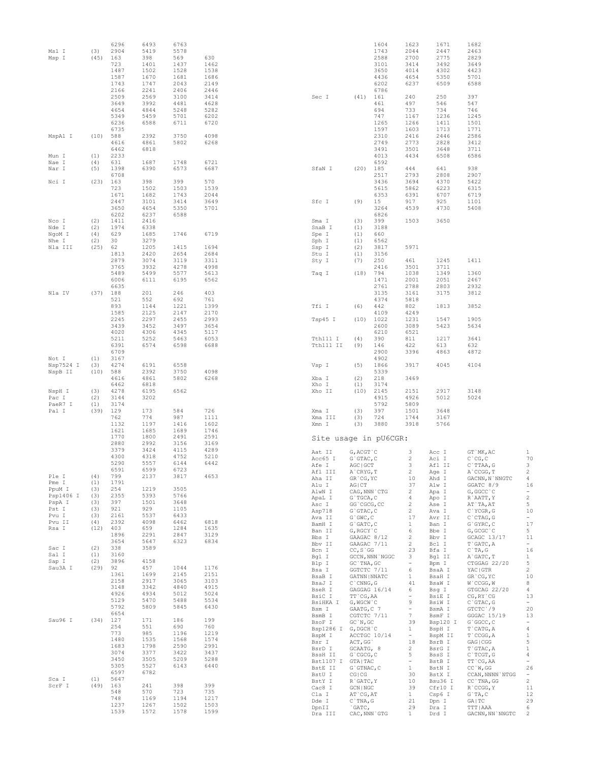| Msl I<br>Msp I                                  | (3)<br>(45)                      | 6296<br>2904<br>163<br>723<br>1487<br>1587<br>1743<br>2166<br>2509 | 6493<br>5419<br>398<br>1401<br>1502<br>1670<br>1747<br>2241<br>2569 | 6763<br>5578<br>569<br>1437<br>1528<br>1681<br>2043<br>2406<br>3100 | 630<br>1462<br>1538<br>1686<br>2149<br>2446<br>3414        | Sec I                                                                                                           | (41) 161                                                                                                                    | 1604<br>1743<br>2588<br>3101<br>3650<br>4436<br>6202<br>6786 | 1623<br>2044<br>2700<br>3414<br>4014<br>4654<br>6237<br>240                | 1671<br>2447<br>2775<br>3492<br>4302<br>5350<br>6509<br>250                               | 1682<br>2463<br>2829<br>3649<br>4423<br>5701<br>6588<br>397                                                               |                                                                                                                         |
|-------------------------------------------------|----------------------------------|--------------------------------------------------------------------|---------------------------------------------------------------------|---------------------------------------------------------------------|------------------------------------------------------------|-----------------------------------------------------------------------------------------------------------------|-----------------------------------------------------------------------------------------------------------------------------|--------------------------------------------------------------|----------------------------------------------------------------------------|-------------------------------------------------------------------------------------------|---------------------------------------------------------------------------------------------------------------------------|-------------------------------------------------------------------------------------------------------------------------|
|                                                 |                                  | 3649<br>4654<br>5349<br>6236<br>6735                               | 3992<br>$4\,8\,4\,4$<br>5459<br>6588                                | 4481<br>5248<br>5701<br>6711                                        | 4628<br>5282<br>6202<br>6720                               |                                                                                                                 |                                                                                                                             | 461<br>694<br>747<br>1265<br>1597                            | 497<br>733<br>1167<br>1266<br>1603                                         | 546<br>734<br>1236<br>1411<br>1713                                                        | 547<br>746<br>1245<br>1501<br>1771                                                                                        |                                                                                                                         |
| MspA1 I<br>Mun I                                | (10)<br>(1)                      | 588<br>4616<br>6462<br>2233                                        | 2392<br>4861<br>6818                                                | 3750<br>5802                                                        | 4098<br>6268                                               |                                                                                                                 |                                                                                                                             | 2310<br>2749<br>3491<br>4013                                 | 2416<br>2773<br>3501<br>4434                                               | 2446<br>2828<br>3648<br>6508                                                              | 2586<br>3412<br>3711<br>6586                                                                                              |                                                                                                                         |
| Nae I<br>Nar I                                  | (4)<br>(5)                       | 631<br>1398<br>6708                                                | 1687<br>6390                                                        | 1748<br>6573                                                        | 6721<br>6687                                               | SfaN I                                                                                                          | (20)                                                                                                                        | 6592<br>185<br>2517                                          | 444<br>2793                                                                | 641<br>2808                                                                               | 938<br>2907                                                                                                               |                                                                                                                         |
| Nci I                                           | (23)                             | 163<br>723<br>1671<br>2447<br>3650<br>6202                         | 398<br>1502<br>1682<br>3101<br>4654<br>6237                         | 399<br>1503<br>1743<br>3414<br>5350<br>6588                         | 570<br>1539<br>2044<br>3649<br>5701                        | Sfc I                                                                                                           | (9)                                                                                                                         | 3436<br>5615<br>6353<br>15<br>3264<br>6826                   | 3694<br>5862<br>6391<br>917<br>4539                                        | 4370<br>6223<br>6707<br>925<br>4730                                                       | 5422<br>6315<br>6719<br>1101<br>5408                                                                                      |                                                                                                                         |
| Nco I<br>Nde I<br>NgoM I<br>Nhe I<br>Nla III    | (2)<br>(2)<br>(4)<br>(2)<br>(25) | 1411<br>1974<br>629<br>30<br>62                                    | 2416<br>6338<br>1685<br>3279<br>1205                                | 1746<br>1415                                                        | 6719<br>1694                                               | Sma I<br>SnaB I<br>Spe I<br>Sph I<br>Ssp I                                                                      | (3)<br>(1)<br>(1)<br>(1)<br>(2)                                                                                             | 399<br>3188<br>660<br>6562<br>3817                           | 1503<br>5971                                                               | 3650                                                                                      |                                                                                                                           |                                                                                                                         |
|                                                 |                                  | 1813<br>2879<br>3765<br>5489<br>6006                               | 2420<br>3074<br>3932<br>5499<br>6111                                | 2654<br>3119<br>4278<br>5577<br>6195                                | 2684<br>3311<br>4998<br>5613<br>6562                       | Stu I<br>Sty I<br>Taq I                                                                                         | (1)<br>(7)<br>(18)                                                                                                          | 3156<br>250<br>2416<br>794<br>1471                           | 461<br>3501<br>1038<br>2001                                                | 1245<br>3711<br>1349<br>2051                                                              | 1411<br>1360<br>2467                                                                                                      |                                                                                                                         |
| Nla IV                                          | (37)                             | 6635<br>188<br>521<br>893<br>1585<br>2245                          | 201<br>552<br>1144<br>2125<br>2297                                  | 246<br>692<br>1221<br>2147<br>2455                                  | 403<br>761<br>1399<br>2170<br>2993                         | Tfi I<br>Tsp45 I                                                                                                | (6)<br>(10)                                                                                                                 | 2761<br>3135<br>4374<br>442<br>4109<br>1022                  | 2788<br>3161<br>5818<br>802<br>4249<br>1231                                | 2803<br>3175<br>1813<br>1547                                                              | 2932<br>3812<br>3852<br>1905                                                                                              |                                                                                                                         |
| Not I                                           | (1)                              | 3439<br>4020<br>5211<br>6391<br>6709<br>3167                       | 3452<br>4306<br>5252<br>6574                                        | 3497<br>4345<br>5463<br>6598                                        | 3654<br>5117<br>6053<br>6688                               | Tth111 I<br>Tth111 II                                                                                           | (4)<br>(9)                                                                                                                  | 2600<br>6210<br>390<br>146<br>2900<br>4902                   | 3089<br>6521<br>811<br>422<br>3396                                         | 5423<br>1217<br>613<br>4863                                                               | 5634<br>3641<br>632<br>4872                                                                                               |                                                                                                                         |
| Nsp7524 I<br>NspB II<br>NspH I                  | (3)<br>(10)<br>(3)               | 4274<br>588<br>4616<br>6462<br>4278                                | 6191<br>2392<br>4861<br>6818<br>6195                                | 6558<br>3750<br>5802<br>6562                                        | 4098<br>6268                                               | Vsp I<br>Xba I<br>Xho I<br>Xho II                                                                               | (5)<br>(2)<br>(1)<br>(10)                                                                                                   | 1866<br>5339<br>218<br>3174<br>2145                          | 3917<br>3469<br>2151                                                       | 4045<br>2917                                                                              | 4104<br>3148                                                                                                              |                                                                                                                         |
| Pac I<br>PaeR7 I<br>Pal I                       | (2)<br>(1)<br>(39)               | 3144<br>3174<br>129<br>762<br>1132                                 | 3202<br>173<br>774<br>1197                                          | 584<br>987<br>1416                                                  | 726<br>1111<br>1602                                        | Xma I<br>Xma III<br>Xmn I                                                                                       | (3)<br>(3)<br>(3)                                                                                                           | 4915<br>5792<br>397<br>724<br>3880                           | 4926<br>5809<br>1501<br>1744<br>3918                                       | 5012<br>3648<br>3167<br>5766                                                              | 5024                                                                                                                      |                                                                                                                         |
|                                                 |                                  | 1621<br>1770<br>2880<br>3379<br>4300                               | 1685<br>1800<br>2992<br>3424<br>4318                                | 1689<br>2491<br>3156<br>4115<br>4752                                | 1746<br>2591<br>3169<br>4289<br>5210                       | Site usage in pU6CGR:<br>Aat II<br>Acc65 I                                                                      | G, ACGT `C<br>$G$ GTAC, $C$                                                                                                 |                                                              | 3<br>2                                                                     | Acc I<br>Aci I                                                                            | GT `MK, AC<br>$C$ $^{\circ}$ CG, C                                                                                        | $\mathbf{1}$<br>70                                                                                                      |
| Ple I<br>Pme I<br>PpuM I                        | (4)<br>(1)<br>(3)                | 5290<br>6591<br>799<br>1791<br>254                                 | 5557<br>6599<br>2137<br>1219                                        | 6144<br>6723<br>3817<br>3505                                        | 6442<br>4653                                               | Afe I<br>Afl III<br>Aha II<br>Alu I<br>AlwN I                                                                   | AGC   GCT<br>A`CRYG, T<br>GR`CG, YC<br>$AG$ $ CT$<br>CAG, NNN `CTG                                                          |                                                              | 3<br>$\overline{c}$<br>10<br>37<br>$\overline{c}$                          | Afl II<br>Age I<br>Ahd I<br>Alw I<br>Apa I                                                | C`TTAA, G<br>A`CCGG, T<br>GACNN, N`NNGTC<br>GGATC 8/9<br>G, GGCC C                                                        | 3<br>$\overline{c}$<br>$\overline{4}$<br>16<br>$\sim$                                                                   |
| Psp1406 I<br>PspA I<br>Pst I<br>Pvu I<br>Pvu II | (3)<br>(3)<br>(3)<br>(3)<br>(4)  | 2355<br>397<br>921<br>2161<br>2392                                 | 5393<br>1501<br>929<br>5537<br>4098                                 | 5766<br>3648<br>1105<br>6433<br>6462                                | 6818                                                       | ApaL I<br>Asc I<br>Asp718<br>Ava II<br>BamH I                                                                   | G`TGCA, C<br>GG`CGCG, CC<br>$G$ $GTAC$ , $C$<br>$G$ $GWC$ , $C$<br>$G$ $GATC$ , $C$                                         |                                                              | $\overline{4}$<br>2<br>2<br>17<br>$\mathbf{1}$                             | Apo I<br>Ase I<br>Ava I<br>Avr II<br>Ban I                                                | R`AATT, Y<br>AT`TA, AT<br>$C$ `YCGR, G<br>$C$ ctag, $G$<br>$G$ $GYRC$ , $C$                                               | $\sqrt{2}$<br>5<br>10<br>$\sim$<br>17                                                                                   |
| Rsa I<br>Sac I<br>Sal I                         | (12)<br>(2)<br>(1)               | 403<br>1896<br>3654<br>338<br>3160                                 | 659<br>2291<br>5647<br>3589                                         | 1284<br>2847<br>6323                                                | 1635<br>3129<br>6834                                       | Ban II<br>Bbs I<br>Bbv II<br>Bcn I<br>Bgl I                                                                     | G, RGCY `C<br>GAAGAC 8/12<br>GAAGAC 7/11<br>$CC, S$ GG                                                                      | GCCN, NNN `NGGC                                              | 6<br>$\overline{c}$<br>2<br>23<br>3                                        | Bbe I<br>Bbv I<br>Bcl I<br>Bfa I<br>Bgl II                                                | G, GCGC `C<br>GCAGC 13/17<br>T`GATC, A<br>$C$ `TA, G<br>A GATC, T                                                         | 5<br>11<br>$\blacksquare$<br>16<br>$\mathbf{1}$                                                                         |
| Sap I<br>Sau3A I                                | (2)<br>(29)                      | 3896<br>92<br>1361<br>2158<br>3148<br>4926<br>5129<br>5792<br>6654 | 4158<br>457<br>1699<br>2917<br>3342<br>4934<br>5470<br>5809         | 1044<br>2145<br>3065<br>4840<br>5012<br>5488<br>5845                | 1176<br>2151<br>3103<br>4915<br>5024<br>5534<br>6430       | Blp I<br>Bsa I<br>BsaB I<br>BsaJ I<br>BseR I<br>BsiC I<br>BsiHKA I<br>Bsm I                                     | $GC'$ TNA, $GC$<br>GGTCTC 7/11<br>GATNN   NNATC<br>$C$ $CMNG$ , $G$<br>GAGGAG 16/14<br>TT CG, AA<br>G, WGCW`C<br>GAATG, C 7 |                                                              | $\sim$<br>6<br>1<br>41<br>6<br>$\sim$<br>9<br>$7\phantom{.0}$              | Bpm I<br>BsaA I<br>BsaH I<br>BsaW I<br>Bsg I<br>BsiE I<br>BsiW I<br>BsmA I                | CTGGAG 22/20<br>YAC GTR<br>GR CG, YC<br>$W$ `CCGG, $W$<br>GTGCAG 22/20<br>$CG, RY$ $CG$<br>$C$ GTAC, G<br>GTCTC 79        | 5<br>$\overline{c}$<br>10<br>8<br>4<br>13<br>$\sim$<br>20                                                               |
| Sau96 I                                         | (34)                             | 127<br>254<br>773<br>1480<br>1683<br>3074<br>3450<br>5305<br>6597  | 171<br>551<br>985<br>1535<br>1798<br>3377<br>3505<br>5527<br>6782   | 186<br>690<br>1196<br>1568<br>2590<br>3422<br>5209<br>6143          | 199<br>760<br>1219<br>1574<br>2991<br>3437<br>5288<br>6440 | BsmB I<br>BsoF I<br>Bsp1286 I G, DGCH C<br>BspM I<br>Bsr I<br>BsrD I<br>BssH II<br>Bst1107 I GTA TAC<br>BstE II | CGTCTC 7/11<br>GC'N, GC<br>ACCTGC 10/14<br>ACT, GG<br>GCAATG, 8<br>$G$ $CGCG, C$<br>$G$ GTNAC, $C$                          |                                                              | 39<br>$\mathbf{1}$<br>$\rightarrow$<br>18<br>2<br>5<br>$\equiv$<br>1<br>30 | BsmF I<br>Bsp120 I<br>BspH I<br>BspM II<br>BsrB I<br>BsrG I<br>BssS I<br>BstB I<br>BstN I | GGGAC 15/19<br>$G$ $GGCC$ , $C$<br>T`CATG, A<br>T`CCGG, A<br>GAG CGG<br>T`GTAC, A<br>$C$ TCGT, G<br>TT CG, AA<br>CC'W, GG | 13<br>$\sim$<br>$\overline{4}$<br>$\mathbf{1}$<br>5<br>$\mathbf{1}$<br>$\overline{4}$<br>$\blacksquare$<br>26<br>$\sim$ |
| Sca I<br>ScrF I                                 | (1)<br>(49)                      | 5647<br>163<br>548<br>748<br>1237<br>1539                          | 241<br>570<br>1169<br>1267<br>1572                                  | 398<br>723<br>1194<br>1502<br>1578                                  | 399<br>735<br>1217<br>1503<br>1599                         | BstU I<br>BstY I<br>Cac8 I<br>Cla I<br>Dde I<br>DpnII<br>Dra III                                                | CG   CG<br>R`GATC, Y<br>$GCN$   $NGC$<br>AT CG, AT<br>$C$ TNA, $G$<br>`GATC,<br>CAC, NNN`GTG                                |                                                              | 10<br>39<br>$\mathbf{1}$<br>21<br>29<br>$\mathbf{1}$                       | BstX I<br>Bsu36 I<br>Cfr10 I<br>Csp6 I<br>Dpn I<br>Dra I<br>Drd I                         | CCAN, NNNN `NTGG<br>CC `TNA, GG<br>R CCGG, Y<br>$G$ TA, $C$<br>GA   TC<br>TTT   AAA<br>GACNN, NN`NNGTC                    | $\overline{c}$<br>11<br>12<br>29<br>6<br>$\overline{2}$                                                                 |